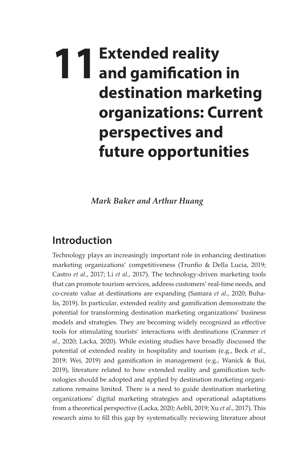## **11Extended reality and gamification in destination marketing organizations: Current perspectives and future opportunities**

*Mark Baker and Arthur Huang*

## **Introduction**

Technology plays an increasingly important role in enhancing destination marketing organizations' competitiveness (Trunfio & Della Lucia, 2019; Castro *et al.*, 2017; Li *et al.*, 2017). The technology-driven marketing tools that can promote tourism services, address customers' real-time needs, and co-create value at destinations are expanding (Samara *et al.*, 2020; Buhalis, 2019). In particular, extended reality and gamification demonstrate the potential for transforming destination marketing organizations' business models and strategies. They are becoming widely recognized as effective tools for stimulating tourists' interactions with destinations (Cranmer *et al.*, 2020; Lacka, 2020). While existing studies have broadly discussed the potential of extended reality in hospitality and tourism (e.g., Beck *et al.*, 2019; Wei, 2019) and gamification in management (e.g., Wanick & Bui, 2019), literature related to how extended reality and gamification technologies should be adopted and applied by destination marketing organizations remains limited. There is a need to guide destination marketing organizations' digital marketing strategies and operational adaptations from a theoretical perspective (Lacka, 2020; Aebli, 2019; Xu *et al.*, 2017). This research aims to fill this gap by systematically reviewing literature about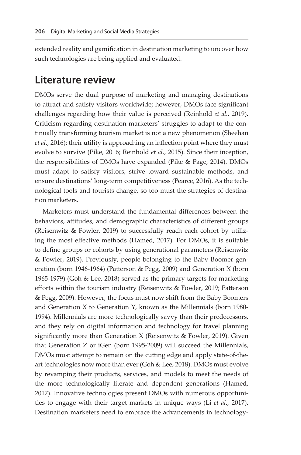extended reality and gamification in destination marketing to uncover how such technologies are being applied and evaluated.

## **Literature review**

DMOs serve the dual purpose of marketing and managing destinations to attract and satisfy visitors worldwide; however, DMOs face significant challenges regarding how their value is perceived (Reinhold *et al.*, 2019). Criticism regarding destination marketers' struggles to adapt to the continually transforming tourism market is not a new phenomenon (Sheehan *et al.*, 2016); their utility is approaching an inflection point where they must evolve to survive (Pike, 2016; Reinhold *et al.*, 2015). Since their inception, the responsibilities of DMOs have expanded (Pike & Page, 2014). DMOs must adapt to satisfy visitors, strive toward sustainable methods, and ensure destinations' long-term competitiveness (Pearce, 2016). As the technological tools and tourists change, so too must the strategies of destination marketers.

Marketers must understand the fundamental differences between the behaviors, attitudes, and demographic characteristics of different groups (Reisenwitz & Fowler, 2019) to successfully reach each cohort by utilizing the most effective methods (Hamed, 2017). For DMOs, it is suitable to define groups or cohorts by using generational parameters (Reisenwitz & Fowler, 2019). Previously, people belonging to the Baby Boomer generation (born 1946-1964) (Patterson & Pegg, 2009) and Generation X (born 1965-1979) (Goh & Lee, 2018) served as the primary targets for marketing efforts within the tourism industry (Reisenwitz & Fowler, 2019; Patterson & Pegg, 2009). However, the focus must now shift from the Baby Boomers and Generation X to Generation Y, known as the Millennials (born 1980- 1994). Millennials are more technologically savvy than their predecessors, and they rely on digital information and technology for travel planning significantly more than Generation X (Reisenwitz & Fowler, 2019). Given that Generation Z or iGen (born 1995-2009) will succeed the Millennials, DMOs must attempt to remain on the cutting edge and apply state-of-theart technologies now more than ever (Goh & Lee, 2018). DMOs must evolve by revamping their products, services, and models to meet the needs of the more technologically literate and dependent generations (Hamed, 2017). Innovative technologies present DMOs with numerous opportunities to engage with their target markets in unique ways (Li *et al.*, 2017). Destination marketers need to embrace the advancements in technology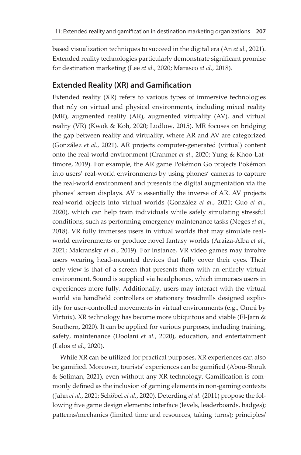based visualization techniques to succeed in the digital era (An *et al.*, 2021). Extended reality technologies particularly demonstrate significant promise for destination marketing (Lee *et al.*, 2020; Marasco *et al.*, 2018).

## **Extended Reality (XR) and Gamification**

Extended reality (XR) refers to various types of immersive technologies that rely on virtual and physical environments, including mixed reality (MR), augmented reality (AR), augmented virtuality (AV), and virtual reality (VR) (Kwok & Koh, 2020; Ludlow, 2015). MR focuses on bridging the gap between reality and virtuality, where AR and AV are categorized (González *et al.*, 2021). AR projects computer-generated (virtual) content onto the real-world environment (Cranmer *et al.*, 2020; Yung & Khoo-Lattimore, 2019). For example, the AR game Pokémon Go projects Pokémon into users' real-world environments by using phones' cameras to capture the real-world environment and presents the digital augmentation via the phones' screen displays. AV is essentially the inverse of AR. AV projects real-world objects into virtual worlds (González *et al.*, 2021; Guo *et al.*, 2020), which can help train individuals while safely simulating stressful conditions, such as performing emergency maintenance tasks (Neges *et al.*, 2018). VR fully immerses users in virtual worlds that may simulate realworld environments or produce novel fantasy worlds (Araiza-Alba *et al.*, 2021; Makransky *et al.*, 2019). For instance, VR video games may involve users wearing head-mounted devices that fully cover their eyes. Their only view is that of a screen that presents them with an entirely virtual environment. Sound is supplied via headphones, which immerses users in experiences more fully. Additionally, users may interact with the virtual world via handheld controllers or stationary treadmills designed explicitly for user-controlled movements in virtual environments (e.g., Omni by Virtuix). XR technology has become more ubiquitous and viable (El-Jarn & Southern, 2020). It can be applied for various purposes, including training, safety, maintenance (Doolani *et al.*, 2020), education, and entertainment (Lalos *et al.*, 2020).

While XR can be utilized for practical purposes, XR experiences can also be gamified. Moreover, tourists' experiences can be gamified (Abou-Shouk & Soliman, 2021), even without any XR technology. Gamification is commonly defined as the inclusion of gaming elements in non-gaming contexts (Jahn *et al.*, 2021; Schöbel *et al.*, 2020). Deterding *et al.* (2011) propose the following five game design elements: interface (levels, leaderboards, badges); patterns/mechanics (limited time and resources, taking turns); principles/